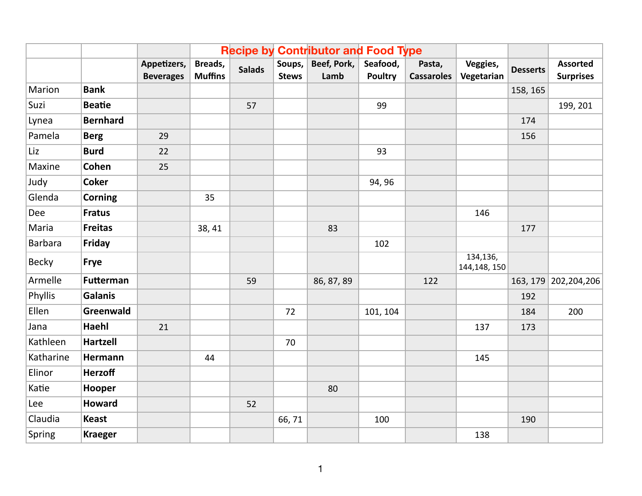|                |                  |                                 |                           |               | <b>Recipe by Contributor and Food Type</b> |                     |                            |                             |                          |                 |                                     |
|----------------|------------------|---------------------------------|---------------------------|---------------|--------------------------------------------|---------------------|----------------------------|-----------------------------|--------------------------|-----------------|-------------------------------------|
|                |                  | Appetizers,<br><b>Beverages</b> | Breads,<br><b>Muffins</b> | <b>Salads</b> | Soups,<br><b>Stews</b>                     | Beef, Pork,<br>Lamb | Seafood,<br><b>Poultry</b> | Pasta,<br><b>Cassaroles</b> | Veggies,<br>Vegetarian   | <b>Desserts</b> | <b>Assorted</b><br><b>Surprises</b> |
| Marion         | <b>Bank</b>      |                                 |                           |               |                                            |                     |                            |                             |                          | 158, 165        |                                     |
| Suzi           | <b>Beatie</b>    |                                 |                           | 57            |                                            |                     | 99                         |                             |                          |                 | 199, 201                            |
| Lynea          | <b>Bernhard</b>  |                                 |                           |               |                                            |                     |                            |                             |                          | 174             |                                     |
| Pamela         | <b>Berg</b>      | 29                              |                           |               |                                            |                     |                            |                             |                          | 156             |                                     |
| Liz            | <b>Burd</b>      | 22                              |                           |               |                                            |                     | 93                         |                             |                          |                 |                                     |
| Maxine         | Cohen            | 25                              |                           |               |                                            |                     |                            |                             |                          |                 |                                     |
| Judy           | <b>Coker</b>     |                                 |                           |               |                                            |                     | 94, 96                     |                             |                          |                 |                                     |
| Glenda         | <b>Corning</b>   |                                 | 35                        |               |                                            |                     |                            |                             |                          |                 |                                     |
| Dee            | <b>Fratus</b>    |                                 |                           |               |                                            |                     |                            |                             | 146                      |                 |                                     |
| Maria          | <b>Freitas</b>   |                                 | 38, 41                    |               |                                            | 83                  |                            |                             |                          | 177             |                                     |
| <b>Barbara</b> | Friday           |                                 |                           |               |                                            |                     | 102                        |                             |                          |                 |                                     |
| <b>Becky</b>   | <b>Frye</b>      |                                 |                           |               |                                            |                     |                            |                             | 134,136,<br>144,148, 150 |                 |                                     |
| Armelle        | <b>Futterman</b> |                                 |                           | 59            |                                            | 86, 87, 89          |                            | 122                         |                          |                 | 163, 179 202, 204, 206              |
| Phyllis        | <b>Galanis</b>   |                                 |                           |               |                                            |                     |                            |                             |                          | 192             |                                     |
| Ellen          | Greenwald        |                                 |                           |               | 72                                         |                     | 101, 104                   |                             |                          | 184             | 200                                 |
| Jana           | Haehl            | 21                              |                           |               |                                            |                     |                            |                             | 137                      | 173             |                                     |
| Kathleen       | <b>Hartzell</b>  |                                 |                           |               | 70                                         |                     |                            |                             |                          |                 |                                     |
| Katharine      | Hermann          |                                 | 44                        |               |                                            |                     |                            |                             | 145                      |                 |                                     |
| Elinor         | <b>Herzoff</b>   |                                 |                           |               |                                            |                     |                            |                             |                          |                 |                                     |
| Katie          | Hooper           |                                 |                           |               |                                            | 80                  |                            |                             |                          |                 |                                     |
| Lee            | <b>Howard</b>    |                                 |                           | 52            |                                            |                     |                            |                             |                          |                 |                                     |
| Claudia        | <b>Keast</b>     |                                 |                           |               | 66,71                                      |                     | 100                        |                             |                          | 190             |                                     |
| Spring         | <b>Kraeger</b>   |                                 |                           |               |                                            |                     |                            |                             | 138                      |                 |                                     |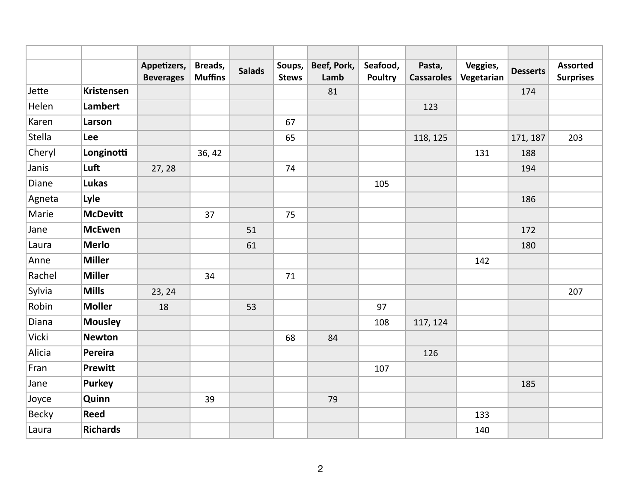|              |                   | Appetizers,<br><b>Beverages</b> | Breads,<br><b>Muffins</b> | <b>Salads</b> | Soups,<br><b>Stews</b> | Beef, Pork,<br>Lamb | Seafood,<br><b>Poultry</b> | Pasta,<br><b>Cassaroles</b> | Veggies,<br>Vegetarian | <b>Desserts</b> | <b>Assorted</b><br><b>Surprises</b> |
|--------------|-------------------|---------------------------------|---------------------------|---------------|------------------------|---------------------|----------------------------|-----------------------------|------------------------|-----------------|-------------------------------------|
| Jette        | <b>Kristensen</b> |                                 |                           |               |                        | 81                  |                            |                             |                        | 174             |                                     |
| Helen        | <b>Lambert</b>    |                                 |                           |               |                        |                     |                            | 123                         |                        |                 |                                     |
| Karen        | Larson            |                                 |                           |               | 67                     |                     |                            |                             |                        |                 |                                     |
| Stella       | Lee               |                                 |                           |               | 65                     |                     |                            | 118, 125                    |                        | 171, 187        | 203                                 |
| Cheryl       | Longinotti        |                                 | 36, 42                    |               |                        |                     |                            |                             | 131                    | 188             |                                     |
| Janis        | Luft              | 27, 28                          |                           |               | 74                     |                     |                            |                             |                        | 194             |                                     |
| Diane        | Lukas             |                                 |                           |               |                        |                     | 105                        |                             |                        |                 |                                     |
| Agneta       | Lyle              |                                 |                           |               |                        |                     |                            |                             |                        | 186             |                                     |
| Marie        | <b>McDevitt</b>   |                                 | 37                        |               | 75                     |                     |                            |                             |                        |                 |                                     |
| Jane         | <b>McEwen</b>     |                                 |                           | 51            |                        |                     |                            |                             |                        | 172             |                                     |
| Laura        | <b>Merlo</b>      |                                 |                           | 61            |                        |                     |                            |                             |                        | 180             |                                     |
| Anne         | <b>Miller</b>     |                                 |                           |               |                        |                     |                            |                             | 142                    |                 |                                     |
| Rachel       | <b>Miller</b>     |                                 | 34                        |               | 71                     |                     |                            |                             |                        |                 |                                     |
| Sylvia       | <b>Mills</b>      | 23, 24                          |                           |               |                        |                     |                            |                             |                        |                 | 207                                 |
| Robin        | <b>Moller</b>     | 18                              |                           | 53            |                        |                     | 97                         |                             |                        |                 |                                     |
| Diana        | <b>Mousley</b>    |                                 |                           |               |                        |                     | 108                        | 117, 124                    |                        |                 |                                     |
| Vicki        | <b>Newton</b>     |                                 |                           |               | 68                     | 84                  |                            |                             |                        |                 |                                     |
| Alicia       | Pereira           |                                 |                           |               |                        |                     |                            | 126                         |                        |                 |                                     |
| Fran         | Prewitt           |                                 |                           |               |                        |                     | 107                        |                             |                        |                 |                                     |
| Jane         | <b>Purkey</b>     |                                 |                           |               |                        |                     |                            |                             |                        | 185             |                                     |
| Joyce        | Quinn             |                                 | 39                        |               |                        | 79                  |                            |                             |                        |                 |                                     |
| <b>Becky</b> | <b>Reed</b>       |                                 |                           |               |                        |                     |                            |                             | 133                    |                 |                                     |
| Laura        | <b>Richards</b>   |                                 |                           |               |                        |                     |                            |                             | 140                    |                 |                                     |